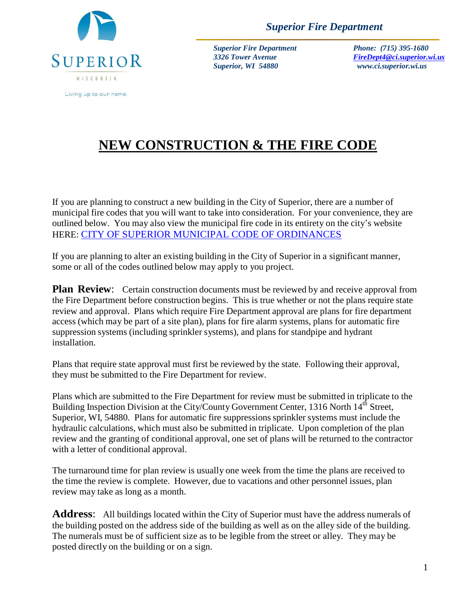

*Superior Fire Department*

*Superior Fire Department 3326 Tower Avenue Superior, WI 54880*

 *Phone: (715) 395-1680 [FireDept4@ci.superior.wi.us](mailto:FireDept4@ci.superior.wi.us) www.ci.superior.wi.us*

## **NEW CONSTRUCTION & THE FIRE CODE**

If you are planning to construct a new building in the City of Superior, there are a number of municipal fire codes that you will want to take into consideration. For your convenience, they are outlined below. You may also view the municipal fire code in its entirety on the city's website HERE: [CITY OF SUPERIOR MUNICIPAL CODE OF ORDINANCES](https://library.municode.com/wi/superior/codes/code_of_ordinances)

If you are planning to alter an existing building in the City of Superior in a significant manner, some or all of the codes outlined below may apply to you project.

**Plan Review:** Certain construction documents must be reviewed by and receive approval from the Fire Department before construction begins. This is true whether or not the plans require state review and approval. Plans which require Fire Department approval are plans for fire department access (which may be part of a site plan), plans for fire alarm systems, plans for automatic fire suppression systems (including sprinkler systems), and plans for standpipe and hydrant installation.

Plans that require state approval must first be reviewed by the state. Following their approval, they must be submitted to the Fire Department for review.

Plans which are submitted to the Fire Department for review must be submitted in triplicate to the Building Inspection Division at the City/County Government Center, 1316 North 14<sup>th</sup> Street, Superior, WI, 54880. Plans for automatic fire suppressions sprinkler systems must include the hydraulic calculations, which must also be submitted in triplicate. Upon completion of the plan review and the granting of conditional approval, one set of plans will be returned to the contractor with a letter of conditional approval.

The turnaround time for plan review is usually one week from the time the plans are received to the time the review is complete. However, due to vacations and other personnel issues, plan review may take as long as a month.

**Address**: All buildings located within the City of Superior must have the address numerals of the building posted on the address side of the building as well as on the alley side of the building. The numerals must be of sufficient size as to be legible from the street or alley. They may be posted directly on the building or on a sign.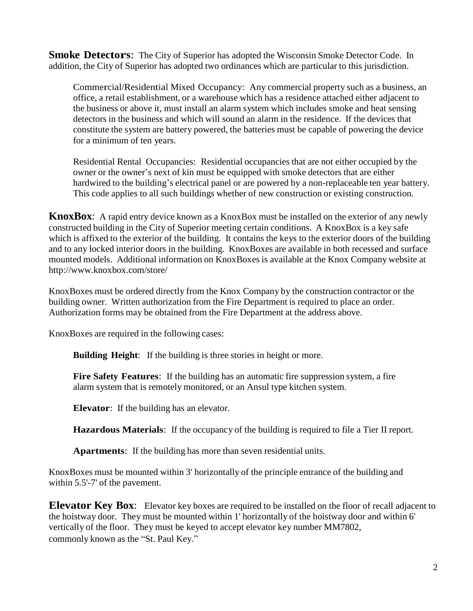**Smoke Detectors:** The City of Superior has adopted the Wisconsin Smoke Detector Code. In addition, the City of Superior has adopted two ordinances which are particular to this jurisdiction.

Commercial/Residential Mixed Occupancy: Any commercial property such as a business, an office, a retail establishment, or a warehouse which has a residence attached either adjacent to the business or above it, must install an alarm system which includes smoke and heat sensing detectors in the business and which will sound an alarm in the residence. If the devices that constitute the system are battery powered, the batteries must be capable of powering the device for a minimum of ten years.

Residential Rental Occupancies: Residential occupancies that are not either occupied by the owner or the owner's next of kin must be equipped with smoke detectors that are either hardwired to the building's electrical panel or are powered by a non-replaceable ten year battery. This code applies to all such buildings whether of new construction or existing construction.

**KnoxBox:** A rapid entry device known as a KnoxBox must be installed on the exterior of any newly constructed building in the City of Superior meeting certain conditions. A KnoxBox is a key safe which is affixed to the exterior of the building. It contains the keys to the exterior doors of the building and to any locked interior doors in the building. KnoxBoxes are available in both recessed and surface mounted models. Additional information on KnoxBoxes is available at the Knox Company website at <http://www.knoxbox.com/store/>

KnoxBoxes must be ordered directly from the Knox Company by the construction contractor or the building owner. Written authorization from the Fire Department is required to place an order. Authorization forms may be obtained from the Fire Department at the address above.

KnoxBoxes are required in the following cases:

**Building Height**: If the building is three stories in height or more.

**Fire Safety Features**: If the building has an automatic fire suppression system, a fire alarm system that is remotely monitored, or an Ansul type kitchen system.

**Elevator**: If the building has an elevator.

**Hazardous Materials**: If the occupancy of the building is required to file a Tier II report.

**Apartments**: If the building has more than seven residential units.

KnoxBoxes must be mounted within 3' horizontally of the principle entrance of the building and within 5.5'-7' of the pavement.

**Elevator Key Box**: Elevator key boxes are required to be installed on the floor of recall adjacent to the hoistway door. They must be mounted within 1' horizontally of the hoistway door and within 6' vertically of the floor. They must be keyed to accept elevator key number MM7802, commonly known as the "St. Paul Key."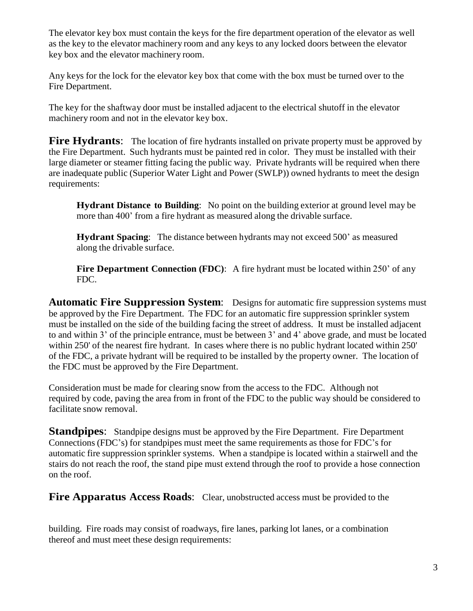The elevator key box must contain the keys for the fire department operation of the elevator as well as the key to the elevator machinery room and any keys to any locked doors between the elevator key box and the elevator machinery room.

Any keys for the lock for the elevator key box that come with the box must be turned over to the Fire Department.

The key for the shaftway door must be installed adjacent to the electrical shutoff in the elevator machinery room and not in the elevator key box.

**Fire Hydrants:** The location of fire hydrants installed on private property must be approved by the Fire Department. Such hydrants must be painted red in color. They must be installed with their large diameter or steamer fitting facing the public way. Private hydrants will be required when there are inadequate public (Superior Water Light and Power (SWLP)) owned hydrants to meet the design requirements:

**Hydrant Distance to Building**: No point on the building exterior at ground level may be more than 400' from a fire hydrant as measured along the drivable surface.

**Hydrant Spacing**: The distance between hydrants may not exceed 500' as measured along the drivable surface.

**Fire Department Connection (FDC):** A fire hydrant must be located within 250' of any FDC.

**Automatic Fire Suppression System**: Designs for automatic fire suppression systems must be approved by the Fire Department. The FDC for an automatic fire suppression sprinkler system must be installed on the side of the building facing the street of address. It must be installed adjacent to and within 3' of the principle entrance, must be between 3' and 4' above grade, and must be located within 250' of the nearest fire hydrant. In cases where there is no public hydrant located within 250' of the FDC, a private hydrant will be required to be installed by the property owner. The location of the FDC must be approved by the Fire Department.

Consideration must be made for clearing snow from the access to the FDC. Although not required by code, paving the area from in front of the FDC to the public way should be considered to facilitate snow removal.

**Standpipes:** Standpipe designs must be approved by the Fire Department. Fire Department Connections (FDC's) for standpipes must meet the same requirements as those for FDC's for automatic fire suppression sprinkler systems. When a standpipe is located within a stairwell and the stairs do not reach the roof, the stand pipe must extend through the roof to provide a hose connection on the roof.

**Fire Apparatus Access Roads**: Clear, unobstructed access must be provided to the

building. Fire roads may consist of roadways, fire lanes, parking lot lanes, or a combination thereof and must meet these design requirements: